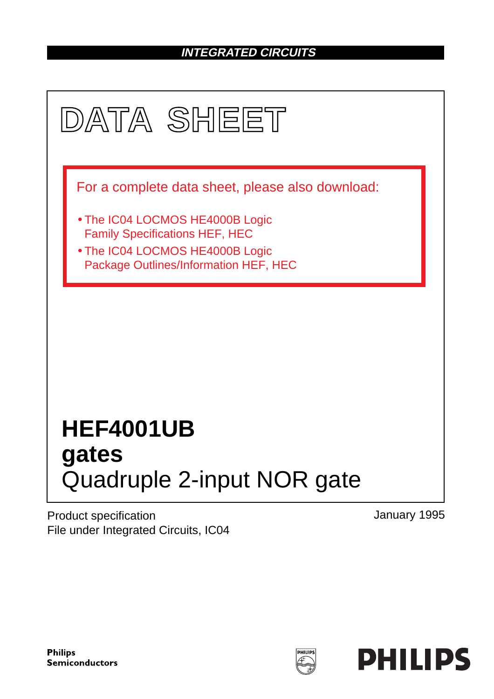### **INTEGRATED CIRCUITS**



Product specification File under Integrated Circuits, IC04 January 1995

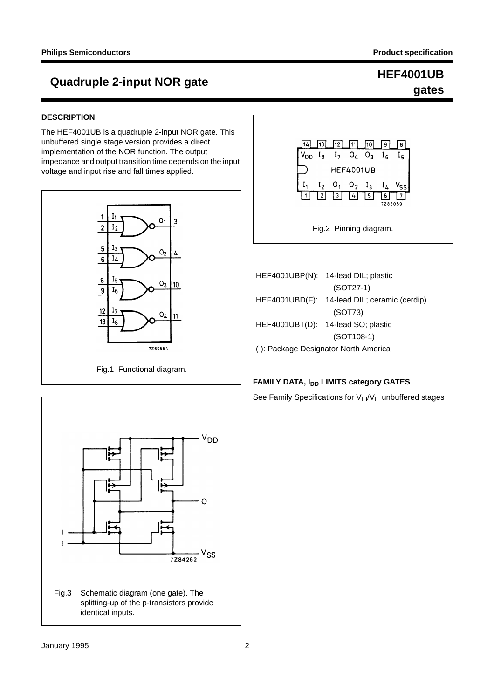**gates**

## **Quadruple 2-input NOR gate HEF4001UB**

#### **DESCRIPTION**

The HEF4001UB is a quadruple 2-input NOR gate. This unbuffered single stage version provides a direct implementation of the NOR function. The output impedance and output transition time depends on the input voltage and input rise and fall times applied.





|                                      | HEF4001UBP(N): 14-lead DIL; plastic          |  |  |  |
|--------------------------------------|----------------------------------------------|--|--|--|
|                                      | $(SOT27-1)$                                  |  |  |  |
|                                      | HEF4001UBD(F): 14-lead DIL; ceramic (cerdip) |  |  |  |
|                                      | (SOT73)                                      |  |  |  |
|                                      | HEF4001UBT(D): 14-lead SO; plastic           |  |  |  |
|                                      | $(SOT108-1)$                                 |  |  |  |
| (): Package Designator North America |                                              |  |  |  |

#### **FAMILY DATA, IDD LIMITS category GATES**

See Family Specifications for  $V_{\text{IH}}/V_{\text{IL}}$  unbuffered stages

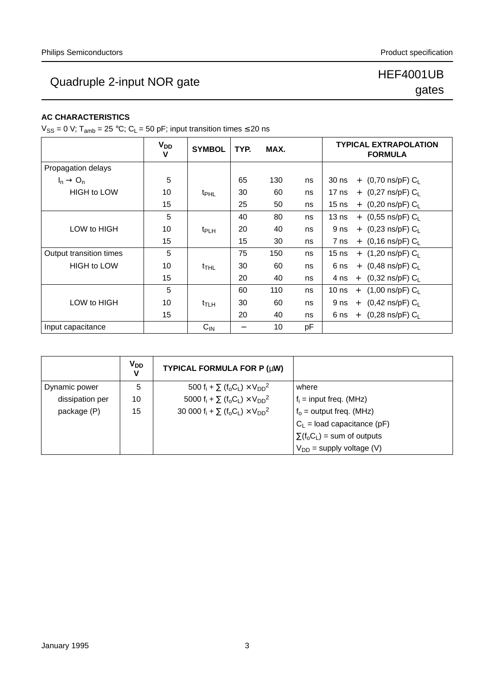# gates

#### **AC CHARACTERISTICS**

 $V_{SS} = 0$  V; T<sub>amb</sub> = 25 °C; C<sub>L</sub> = 50 pF; input transition times  $\leq$  20 ns

|                                                  | <b>V<sub>DD</sub></b><br>v | <b>SYMBOL</b>      | TYP. | MAX. |                                                     | <b>TYPICAL EXTRAPOLATION</b><br><b>FORMULA</b> |
|--------------------------------------------------|----------------------------|--------------------|------|------|-----------------------------------------------------|------------------------------------------------|
| Propagation delays                               |                            |                    |      |      |                                                     |                                                |
| $I_n \rightarrow O_n$                            | 5                          |                    | 65   | 130  | ns                                                  | + $(0,70 \text{ ns/pF}) C_L$<br>$30$ ns        |
| <b>HIGH to LOW</b>                               | 10                         | $t_{\text{PHL}}$   | 30   | 60   | ns                                                  | $+$ (0,27 ns/pF) C <sub>L</sub><br>17 ns       |
|                                                  | 15                         |                    | 25   | 50   | ns                                                  | + $(0,20 \text{ ns/pF}) C_L$<br>$15$ ns        |
| 5<br>LOW to HIGH<br>10                           |                            | 40                 | 80   | ns   | $+$ (0,55 ns/pF) C <sub>1</sub><br>13 <sub>ns</sub> |                                                |
|                                                  |                            | $t_{PLH}$          | 20   | 40   | ns                                                  | + $(0,23 \text{ ns/pF}) C_L$<br>9 ns           |
|                                                  | 15                         |                    | 15   | 30   | ns                                                  | + $(0,16 \text{ ns/pF}) C_L$<br>7 ns           |
| Output transition times                          | 5                          |                    | 75   | 150  | ns                                                  | + $(1,20 \text{ ns/pF}) C_L$<br>$15$ ns        |
| <b>HIGH to LOW</b>                               | 10                         | $t$ <sub>THL</sub> | 30   | 60   | ns                                                  | $+$ (0,48 ns/pF) C <sub>L</sub><br>6 ns        |
|                                                  | 15                         |                    | 20   | 40   | ns                                                  | $+$ (0,32 ns/pF) C <sub>1</sub><br>4 ns        |
| 5<br>LOW to HIGH<br>10<br>$t_{\text{TLH}}$<br>15 |                            |                    | 60   | 110  | ns                                                  | + $(1,00 \text{ ns/pF}) C_L$<br>10 ns          |
|                                                  |                            |                    | 30   | 60   | ns                                                  | 9 ns + $(0,42 \text{ ns/pF}) C_L$              |
|                                                  |                            | 20                 | 40   | ns   | $+$ (0,28 ns/pF) C <sub>1</sub><br>6 ns             |                                                |
| Input capacitance                                |                            | $C_{IN}$           |      | 10   | pF                                                  |                                                |

|                 | <b>V<sub>DD</sub></b><br>v | TYPICAL FORMULA FOR P (µW)                                                                       |                                   |
|-----------------|----------------------------|--------------------------------------------------------------------------------------------------|-----------------------------------|
| Dynamic power   | 5                          | 500 f <sub>i</sub> + $\Sigma$ (f <sub>o</sub> C <sub>L</sub> ) × V <sub>DD</sub> <sup>2</sup>    | where                             |
| dissipation per | 10                         | 5000 f <sub>i</sub> + $\Sigma$ (f <sub>o</sub> C <sub>L</sub> ) × V <sub>DD</sub> <sup>2</sup>   | $f_i$ = input freq. (MHz)         |
| package (P)     | 15                         | 30 000 f <sub>i</sub> + $\Sigma$ (f <sub>o</sub> C <sub>L</sub> ) × V <sub>DD</sub> <sup>2</sup> | $f_0$ = output freq. (MHz)        |
|                 |                            |                                                                                                  | $C_L$ = load capacitance (pF)     |
|                 |                            |                                                                                                  | $\Sigma(f_0C_L)$ = sum of outputs |
|                 |                            |                                                                                                  | $V_{DD}$ = supply voltage (V)     |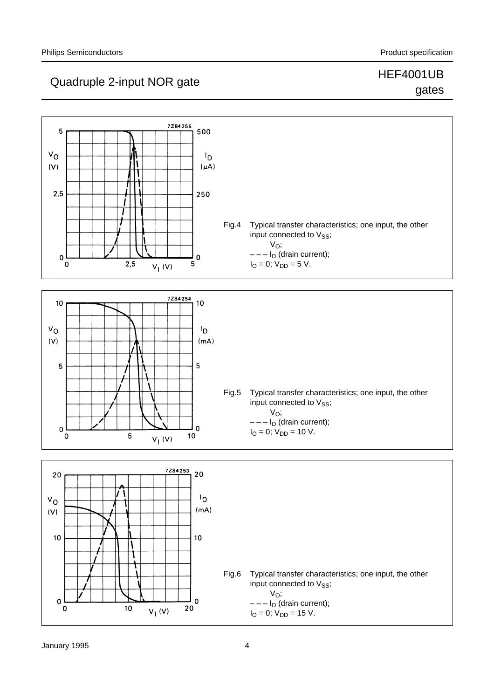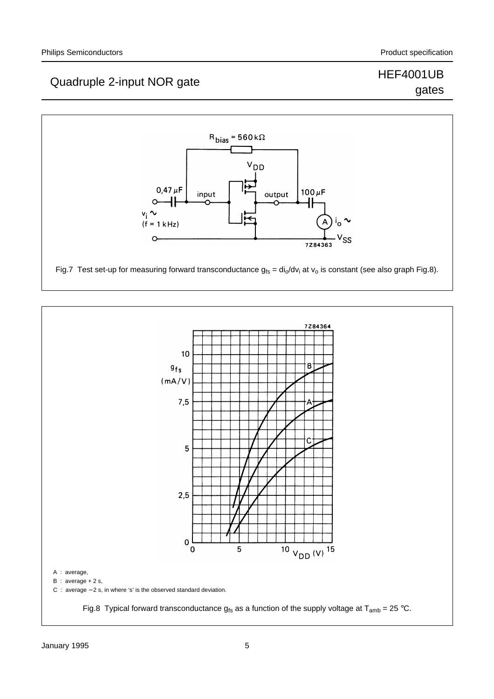# gates





January 1995 **5**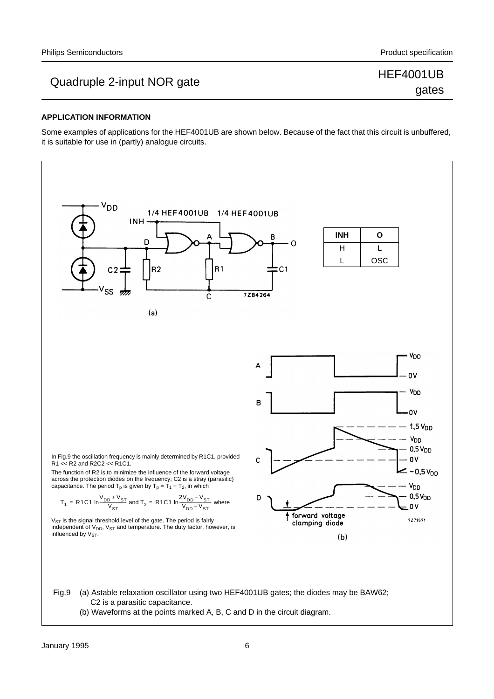## gates

#### **APPLICATION INFORMATION**

Some examples of applications for the HEF4001UB are shown below. Because of the fact that this circuit is unbuffered, it is suitable for use in (partly) analogue circuits.



Fig.9 (a) Astable relaxation oscillator using two HEF4001UB gates; the diodes may be BAW62; C2 is a parasitic capacitance.

(b) Waveforms at the points marked A, B, C and D in the circuit diagram.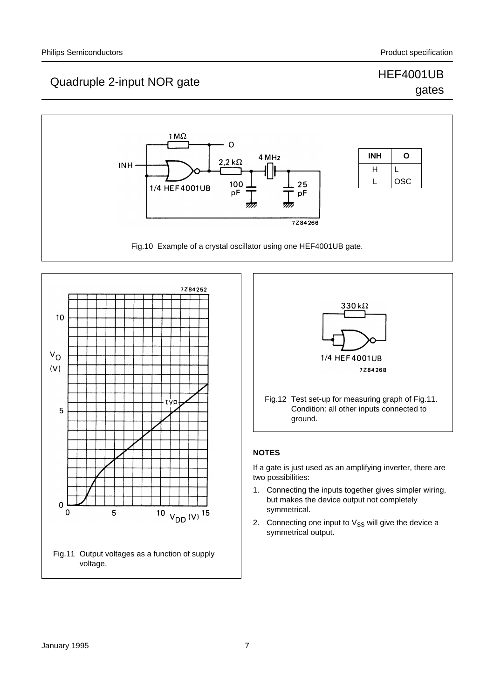# gates







### **NOTES**

If a gate is just used as an amplifying inverter, there are two possibilities:

- 1. Connecting the inputs together gives simpler wiring, but makes the device output not completely symmetrical.
- 2. Connecting one input to  $V_{SS}$  will give the device a symmetrical output.